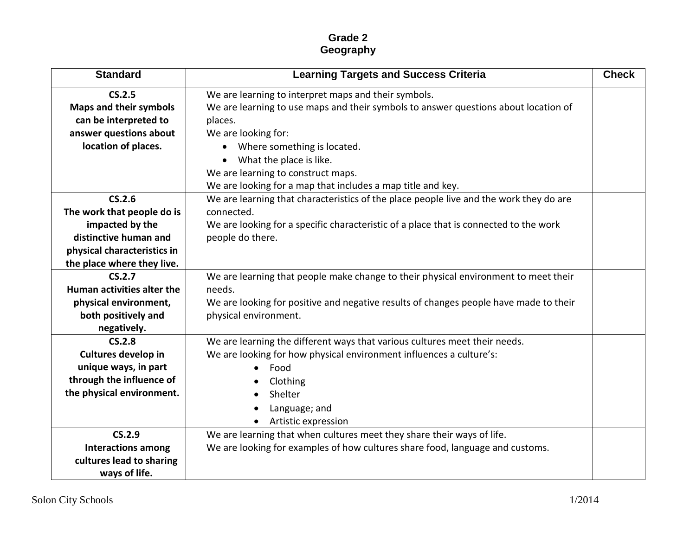## **Grade 2 Geography**

| <b>Standard</b>               | <b>Learning Targets and Success Criteria</b>                                           | <b>Check</b> |
|-------------------------------|----------------------------------------------------------------------------------------|--------------|
| CS.2.5                        | We are learning to interpret maps and their symbols.                                   |              |
| <b>Maps and their symbols</b> | We are learning to use maps and their symbols to answer questions about location of    |              |
| can be interpreted to         | places.                                                                                |              |
| answer questions about        | We are looking for:                                                                    |              |
| location of places.           | Where something is located.                                                            |              |
|                               | What the place is like.                                                                |              |
|                               | We are learning to construct maps.                                                     |              |
|                               | We are looking for a map that includes a map title and key.                            |              |
| CS.2.6                        | We are learning that characteristics of the place people live and the work they do are |              |
| The work that people do is    | connected.                                                                             |              |
| impacted by the               | We are looking for a specific characteristic of a place that is connected to the work  |              |
| distinctive human and         | people do there.                                                                       |              |
| physical characteristics in   |                                                                                        |              |
| the place where they live.    |                                                                                        |              |
| CS.2.7                        | We are learning that people make change to their physical environment to meet their    |              |
| Human activities alter the    | needs.                                                                                 |              |
| physical environment,         | We are looking for positive and negative results of changes people have made to their  |              |
| both positively and           | physical environment.                                                                  |              |
| negatively.                   |                                                                                        |              |
| CS.2.8                        | We are learning the different ways that various cultures meet their needs.             |              |
| <b>Cultures develop in</b>    | We are looking for how physical environment influences a culture's:                    |              |
| unique ways, in part          | Food<br>$\bullet$                                                                      |              |
| through the influence of      | Clothing                                                                               |              |
| the physical environment.     | Shelter                                                                                |              |
|                               | Language; and                                                                          |              |
|                               | Artistic expression                                                                    |              |
| CS.2.9                        | We are learning that when cultures meet they share their ways of life.                 |              |
| <b>Interactions among</b>     | We are looking for examples of how cultures share food, language and customs.          |              |
| cultures lead to sharing      |                                                                                        |              |
| ways of life.                 |                                                                                        |              |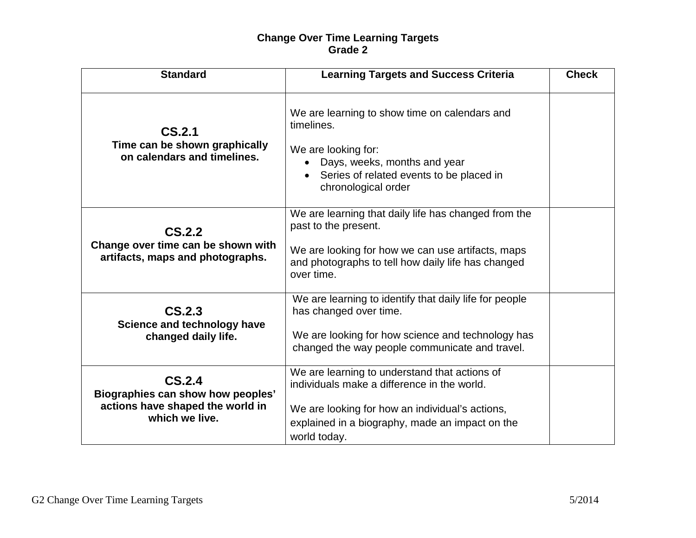## **Change Over Time Learning Targets Grade 2**

| <b>Standard</b>                                                                                   | <b>Learning Targets and Success Criteria</b>                                                                                                                                                                       | <b>Check</b> |
|---------------------------------------------------------------------------------------------------|--------------------------------------------------------------------------------------------------------------------------------------------------------------------------------------------------------------------|--------------|
| CS.2.1<br>Time can be shown graphically<br>on calendars and timelines.                            | We are learning to show time on calendars and<br>timelines.<br>We are looking for:<br>Days, weeks, months and year<br>Series of related events to be placed in<br>$\bullet$<br>chronological order                 |              |
| CS.2.2<br>Change over time can be shown with<br>artifacts, maps and photographs.                  | We are learning that daily life has changed from the<br>past to the present.<br>We are looking for how we can use artifacts, maps<br>and photographs to tell how daily life has changed<br>over time.              |              |
| CS.2.3<br>Science and technology have<br>changed daily life.                                      | We are learning to identify that daily life for people<br>has changed over time.<br>We are looking for how science and technology has<br>changed the way people communicate and travel.                            |              |
| CS.2.4<br>Biographies can show how peoples'<br>actions have shaped the world in<br>which we live. | We are learning to understand that actions of<br>individuals make a difference in the world.<br>We are looking for how an individual's actions,<br>explained in a biography, made an impact on the<br>world today. |              |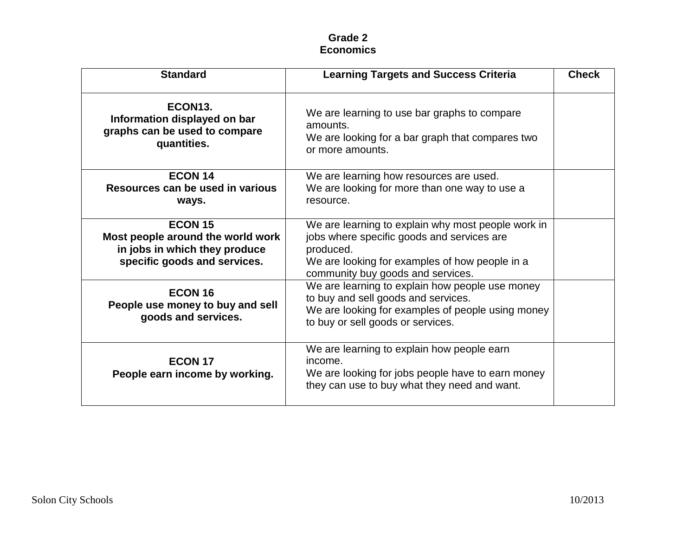## **Grade 2 Economics**

| <b>Standard</b>                                                                                                      | <b>Learning Targets and Success Criteria</b>                                                                                                                                                         | <b>Check</b> |
|----------------------------------------------------------------------------------------------------------------------|------------------------------------------------------------------------------------------------------------------------------------------------------------------------------------------------------|--------------|
| ECON <sub>13</sub> .<br>Information displayed on bar<br>graphs can be used to compare<br>quantities.                 | We are learning to use bar graphs to compare<br>amounts.<br>We are looking for a bar graph that compares two<br>or more amounts.                                                                     |              |
| <b>ECON 14</b>                                                                                                       | We are learning how resources are used.                                                                                                                                                              |              |
| Resources can be used in various<br>ways.                                                                            | We are looking for more than one way to use a<br>resource.                                                                                                                                           |              |
| <b>ECON 15</b><br>Most people around the world work<br>in jobs in which they produce<br>specific goods and services. | We are learning to explain why most people work in<br>jobs where specific goods and services are<br>produced.<br>We are looking for examples of how people in a<br>community buy goods and services. |              |
| ECON <sub>16</sub><br>People use money to buy and sell<br>goods and services.                                        | We are learning to explain how people use money<br>to buy and sell goods and services.<br>We are looking for examples of people using money<br>to buy or sell goods or services.                     |              |
| <b>ECON 17</b><br>People earn income by working.                                                                     | We are learning to explain how people earn<br>income.<br>We are looking for jobs people have to earn money<br>they can use to buy what they need and want.                                           |              |